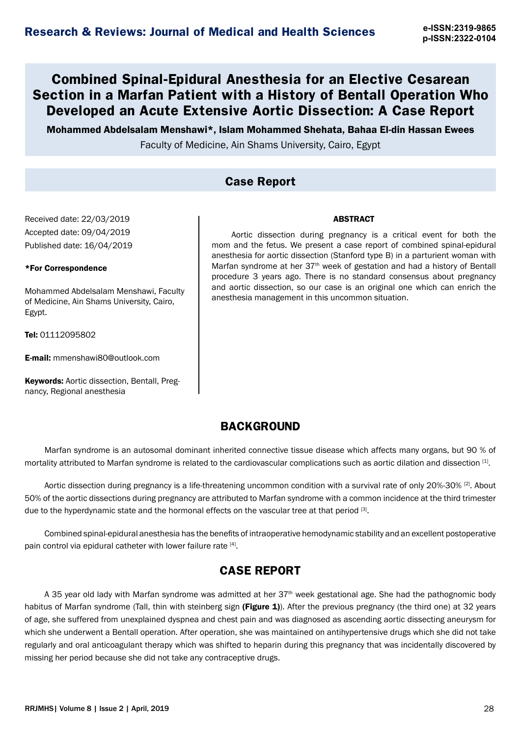# **Combined Spinal-Epidural Anesthesia for an Elective Cesarean Section in a Marfan Patient with a History of Bentall Operation Who Developed an Acute Extensive Aortic Dissection: A Case Report**

Mohammed Abdelsalam Menshawi\*, Islam Mohammed Shehata, Bahaa El-din Hassan Ewees

Faculty of Medicine, Ain Shams University, Cairo, Egypt

### **Case Report**

Received date: 22/03/2019 Accepted date: 09/04/2019 Published date: 16/04/2019

#### \*For Correspondence

Mohammed Abdelsalam Menshawi, Faculty of Medicine, Ain Shams University, Cairo, Egypt.

Tel: 01112095802

E-mail: mmenshawi80@outlook.com

Keywords: Aortic dissection, Bentall, Pregnancy, Regional anesthesia

Aortic dissection during pregnancy is a critical event for both the mom and the fetus. We present a case report of combined spinal-epidural anesthesia for aortic dissection (Stanford type B) in a parturient woman with Marfan syndrome at her 37<sup>th</sup> week of gestation and had a history of Bentall procedure 3 years ago. There is no standard consensus about pregnancy and aortic dissection, so our case is an original one which can enrich the anesthesia management in this uncommon situation.

**ABSTRACT** 

### **BACKGROUND**

Marfan syndrome is an autosomal dominant inherited connective tissue disease which affects many organs, but 90 % of mortality attributed to Marfan syndrome is related to the cardiovascular complications such as aortic dilation and dissection [1].

Aortic dissection during pregnancy is a life-threatening uncommon condition with a survival rate of only 20%-30% [2]. About 50% of the aortic dissections during pregnancy are attributed to Marfan syndrome with a common incidence at the third trimester due to the hyperdynamic state and the hormonal effects on the vascular tree at that period [3].

Combined spinal-epidural anesthesia has the benefits of intraoperative hemodynamic stability and an excellent postoperative pain control via epidural catheter with lower failure rate [4].

### **CASE REPORT**

A 35 year old lady with Marfan syndrome was admitted at her 37<sup>th</sup> week gestational age. She had the pathognomic body habitus of Marfan syndrome (Tall, thin with steinberg sign (Figure 1)). After the previous pregnancy (the third one) at 32 years of age, she suffered from unexplained dyspnea and chest pain and was diagnosed as ascending aortic dissecting aneurysm for which she underwent a Bentall operation. After operation, she was maintained on antihypertensive drugs which she did not take regularly and oral anticoagulant therapy which was shifted to heparin during this pregnancy that was incidentally discovered by missing her period because she did not take any contraceptive drugs.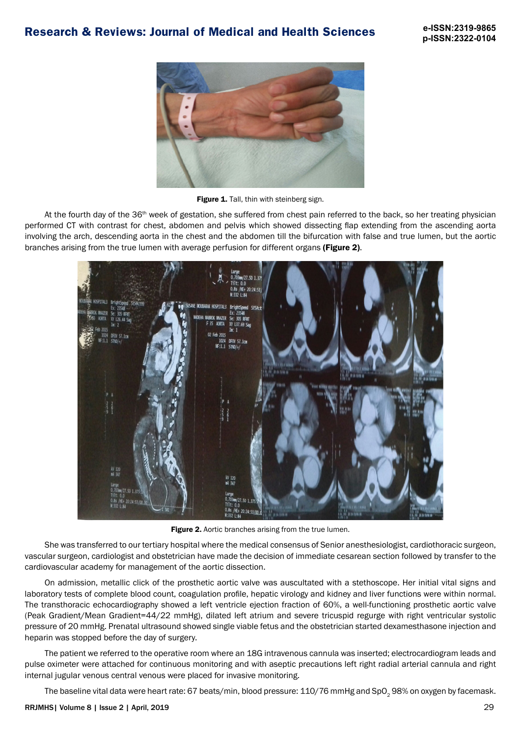

Figure 1. Tall, thin with steinberg sign.

At the fourth day of the 36<sup>th</sup> week of gestation, she suffered from chest pain referred to the back, so her treating physician performed CT with contrast for chest, abdomen and pelvis which showed dissecting flap extending from the ascending aorta involving the arch, descending aorta in the chest and the abdomen till the bifurcation with false and true lumen, but the aortic branches arising from the true lumen with average perfusion for different organs (Figure 2).



Figure 2. Aortic branches arising from the true lumen.

She was transferred to our tertiary hospital where the medical consensus of Senior anesthesiologist, cardiothoracic surgeon, vascular surgeon, cardiologist and obstetrician have made the decision of immediate cesarean section followed by transfer to the cardiovascular academy for management of the aortic dissection.

On admission, metallic click of the prosthetic aortic valve was auscultated with a stethoscope. Her initial vital signs and laboratory tests of complete blood count, coagulation profile, hepatic virology and kidney and liver functions were within normal. The transthoracic echocardiography showed a left ventricle ejection fraction of 60%, a well-functioning prosthetic aortic valve (Peak Gradient/Mean Gradient=44/22 mmHg), dilated left atrium and severe tricuspid regurge with right ventricular systolic pressure of 20 mmHg. Prenatal ultrasound showed single viable fetus and the obstetrician started dexamesthasone injection and heparin was stopped before the day of surgery.

The patient we referred to the operative room where an 18G intravenous cannula was inserted; electrocardiogram leads and pulse oximeter were attached for continuous monitoring and with aseptic precautions left right radial arterial cannula and right internal jugular venous central venous were placed for invasive monitoring.

The baseline vital data were heart rate: 67 beats/min, blood pressure: 110/76 mmHg and SpO<sub>2</sub> 98% on oxygen by facemask.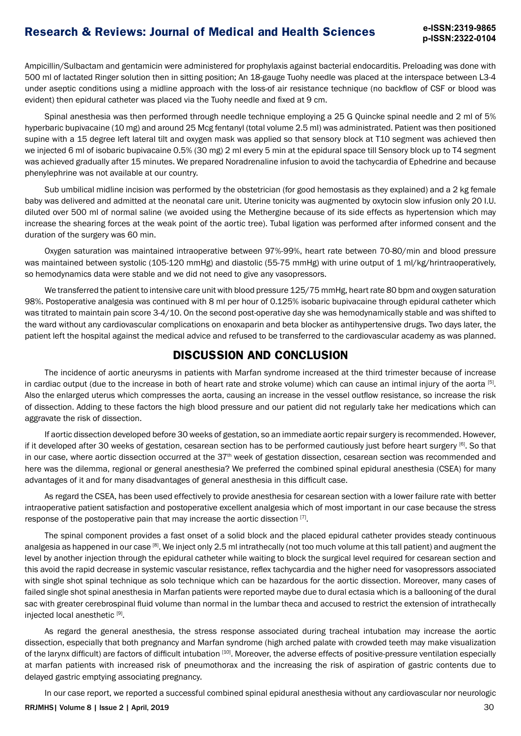# **Research & Reviews: Journal of Medical and Health Sciences e-ISSN:2319-9865**

Ampicillin/Sulbactam and gentamicin were administered for prophylaxis against bacterial endocarditis. Preloading was done with 500 ml of lactated Ringer solution then in sitting position; An 18-gauge Tuohy needle was placed at the interspace between L3-4 under aseptic conditions using a midline approach with the loss-of air resistance technique (no backflow of CSF or blood was evident) then epidural catheter was placed via the Tuohy needle and fixed at 9 cm.

Spinal anesthesia was then performed through needle technique employing a 25 G Quincke spinal needle and 2 ml of 5% hyperbaric bupivacaine (10 mg) and around 25 Mcg fentanyl (total volume 2.5 ml) was administrated. Patient was then positioned supine with a 15 degree left lateral tilt and oxygen mask was applied so that sensory block at T10 segment was achieved then we injected 6 ml of isobaric bupivacaine 0.5% (30 mg) 2 ml every 5 min at the epidural space till Sensory block up to T4 segment was achieved gradually after 15 minutes. We prepared Noradrenaline infusion to avoid the tachycardia of Ephedrine and because phenylephrine was not available at our country.

Sub umbilical midline incision was performed by the obstetrician (for good hemostasis as they explained) and a 2 kg female baby was delivered and admitted at the neonatal care unit. Uterine tonicity was augmented by oxytocin slow infusion only 20 I.U. diluted over 500 ml of normal saline (we avoided using the Methergine because of its side effects as hypertension which may increase the shearing forces at the weak point of the aortic tree). Tubal ligation was performed after informed consent and the duration of the surgery was 60 min.

Oxygen saturation was maintained intraoperative between 97%-99%, heart rate between 70-80/min and blood pressure was maintained between systolic (105-120 mmHg) and diastolic (55-75 mmHg) with urine output of 1 ml/kg/hrintraoperatively, so hemodynamics data were stable and we did not need to give any vasopressors.

We transferred the patient to intensive care unit with blood pressure 125/75 mmHg, heart rate 80 bpm and oxygen saturation 98%. Postoperative analgesia was continued with 8 ml per hour of 0.125% isobaric bupivacaine through epidural catheter which was titrated to maintain pain score 3-4/10. On the second post-operative day she was hemodynamically stable and was shifted to the ward without any cardiovascular complications on enoxaparin and beta blocker as antihypertensive drugs. Two days later, the patient left the hospital against the medical advice and refused to be transferred to the cardiovascular academy as was planned.

#### **DISCUSSION AND CONCLUSION**

The incidence of aortic aneurysms in patients with Marfan syndrome increased at the third trimester because of increase in cardiac output (due to the increase in both of heart rate and stroke volume) which can cause an intimal injury of the aorta [5]. Also the enlarged uterus which compresses the aorta, causing an increase in the vessel outflow resistance, so increase the risk of dissection. Adding to these factors the high blood pressure and our patient did not regularly take her medications which can aggravate the risk of dissection.

If aortic dissection developed before 30 weeks of gestation, so an immediate aortic repair surgery is recommended. However, if it developed after 30 weeks of gestation, cesarean section has to be performed cautiously just before heart surgery [6]. So that in our case, where aortic dissection occurred at the 37<sup>th</sup> week of gestation dissection, cesarean section was recommended and here was the dilemma, regional or general anesthesia? We preferred the combined spinal epidural anesthesia (CSEA) for many advantages of it and for many disadvantages of general anesthesia in this difficult case.

As regard the CSEA, has been used effectively to provide anesthesia for cesarean section with a lower failure rate with better intraoperative patient satisfaction and postoperative excellent analgesia which of most important in our case because the stress response of the postoperative pain that may increase the aortic dissection [7].

The spinal component provides a fast onset of a solid block and the placed epidural catheter provides steady continuous analgesia as happened in our case <sup>[8]</sup>. We inject only 2.5 ml intrathecally (not too much volume at this tall patient) and augment the level by another injection through the epidural catheter while waiting to block the surgical level required for cesarean section and this avoid the rapid decrease in systemic vascular resistance, reflex tachycardia and the higher need for vasopressors associated with single shot spinal technique as solo technique which can be hazardous for the aortic dissection. Moreover, many cases of failed single shot spinal anesthesia in Marfan patients were reported maybe due to dural ectasia which is a ballooning of the dural sac with greater cerebrospinal fluid volume than normal in the lumbar theca and accused to restrict the extension of intrathecally injected local anesthetic [9].

As regard the general anesthesia, the stress response associated during tracheal intubation may increase the aortic dissection, especially that both pregnancy and Marfan syndrome (high arched palate with crowded teeth may make visualization of the larynx difficult) are factors of difficult intubation [10]. Moreover, the adverse effects of positive-pressure ventilation especially at marfan patients with increased risk of pneumothorax and the increasing the risk of aspiration of gastric contents due to delayed gastric emptying associating pregnancy.

In our case report, we reported a successful combined spinal epidural anesthesia without any cardiovascular nor neurologic